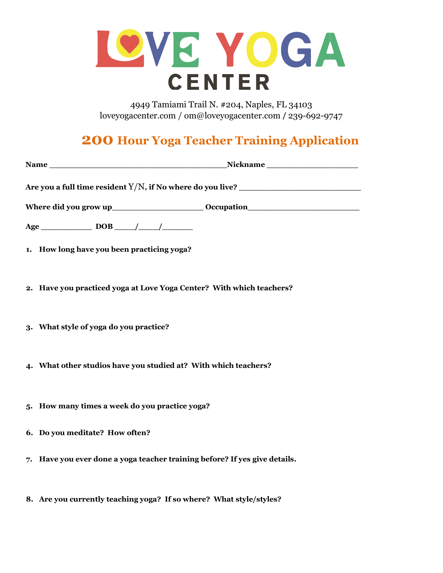

4949 Tamiami Trail N. #204, Naples, FL 34103 loveyogacenter.com / om@loveyogacenter.com / 239-692-9747

## **200 Hour Yoga Teacher Training Application**

| Nickname<br>Name has a series of the series of the series of the series of the series of the series of the series of the series of the series of the series of the series of the series of the series of the series of the series of the s |
|--------------------------------------------------------------------------------------------------------------------------------------------------------------------------------------------------------------------------------------------|
| Are you a full time resident $Y/N$ , if No where do you live?                                                                                                                                                                              |
|                                                                                                                                                                                                                                            |
|                                                                                                                                                                                                                                            |
| 1. How long have you been practicing yoga?                                                                                                                                                                                                 |
| 2. Have you practiced yoga at Love Yoga Center? With which teachers?                                                                                                                                                                       |
| 3. What style of yoga do you practice?                                                                                                                                                                                                     |
| 4. What other studios have you studied at? With which teachers?                                                                                                                                                                            |
| 5. How many times a week do you practice yoga?                                                                                                                                                                                             |
| 6. Do you meditate? How often?                                                                                                                                                                                                             |
| 7. Have you ever done a yoga teacher training before? If yes give details.                                                                                                                                                                 |
| 8. Are you currently teaching yoga? If so where? What style/styles?                                                                                                                                                                        |